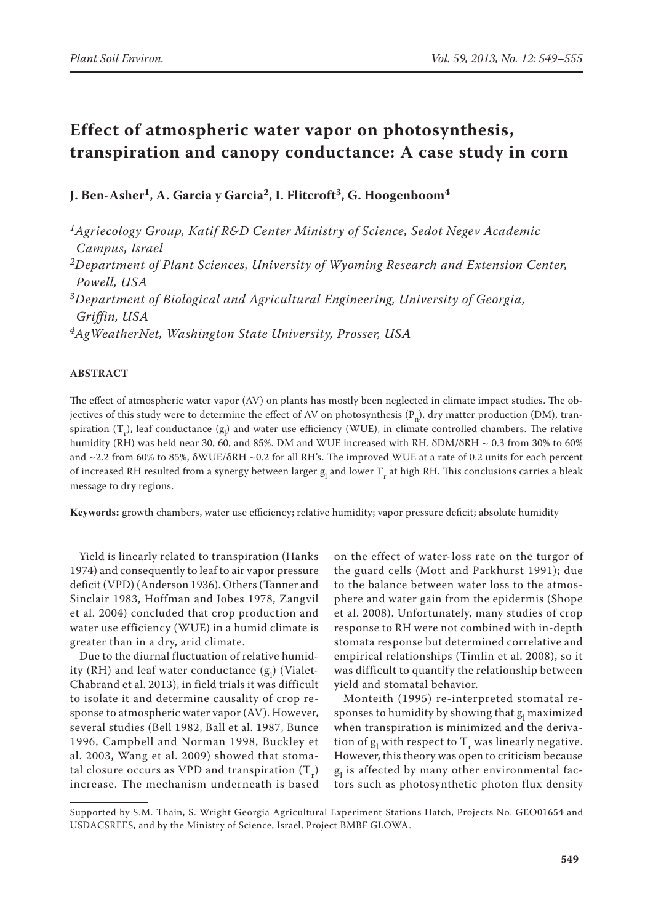# **Effect of atmospheric water vapor on photosynthesis, transpiration and canopy conductance: A case study in corn**

**J. Ben-Asher1, A. Garcia y Garcia2, I. Flitcroft3, G. Hoogenboom4**

*1Agriecology Group, Katif R&D Center Ministry of Science, Sedot Negev Academic Campus, Israel 2Department of Plant Sciences, University of Wyoming Research and Extension Center, Powell, USA 3Department of Biological and Agricultural Engineering, University of Georgia,*

*Griffin, USA*

*4AgWeatherNet, Washington State University, Prosser, USA*

#### **ABSTRACT**

The effect of atmospheric water vapor (AV) on plants has mostly been neglected in climate impact studies. The objectives of this study were to determine the effect of AV on photosynthesis  $(P_n)$ , dry matter production (DM), transpiration (T<sub>r</sub>), leaf conductance (g<sub>l</sub>) and water use efficiency (WUE), in climate controlled chambers. The relative humidity (RH) was held near 30, 60, and 85%. DM and WUE increased with RH.  $\delta$ DM/ $\delta$ RH ~ 0.3 from 30% to 60% and ~2.2 from 60% to 85%, δWUE/δRH ~0.2 for all RH's. The improved WUE at a rate of 0.2 units for each percent of increased RH resulted from a synergy between larger g<sub>l</sub> and lower T<sub>r</sub> at high RH. This conclusions carries a bleak message to dry regions.

**Keywords:** growth chambers, water use efficiency; relative humidity; vapor pressure deficit; absolute humidity

Yield is linearly related to transpiration (Hanks 1974) and consequently to leaf to air vapor pressure deficit (VPD) (Anderson 1936). Others (Tanner and Sinclair 1983, Hoffman and Jobes 1978, Zangvil et al. 2004) concluded that crop production and water use efficiency (WUE) in a humid climate is greater than in a dry, arid climate.

Due to the diurnal fluctuation of relative humidity (RH) and leaf water conductance  $(g_l)$  (Vialet-Chabrand et al. 2013), in field trials it was difficult to isolate it and determine causality of crop response to atmospheric water vapor (AV). However, several studies (Bell 1982, Ball et al. 1987, Bunce 1996, Campbell and Norman 1998, Buckley et al. 2003, Wang et al. 2009) showed that stomatal closure occurs as VPD and transpiration  $(T_r)$ increase. The mechanism underneath is based

on the effect of water-loss rate on the turgor of the guard cells (Mott and Parkhurst 1991); due to the balance between water loss to the atmosphere and water gain from the epidermis (Shope et al. 2008). Unfortunately, many studies of crop response to RH were not combined with in-depth stomata response but determined correlative and empirical relationships (Timlin et al. 2008), so it was difficult to quantify the relationship between yield and stomatal behavior.

Monteith (1995) re-interpreted stomatal responses to humidity by showing that  $g<sub>l</sub>$  maximized when transpiration is minimized and the derivation of  $g_1$  with respect to  $T_r$  was linearly negative. However, this theory was open to criticism because  $g_l$  is affected by many other environmental factors such as photosynthetic photon flux density

Supported by S.M. Thain, S. Wright Georgia Agricultural Experiment Stations Hatch, Projects No. GEO01654 and USDACSREES, and by the Ministry of Science, Israel, Project BMBF GLOWA.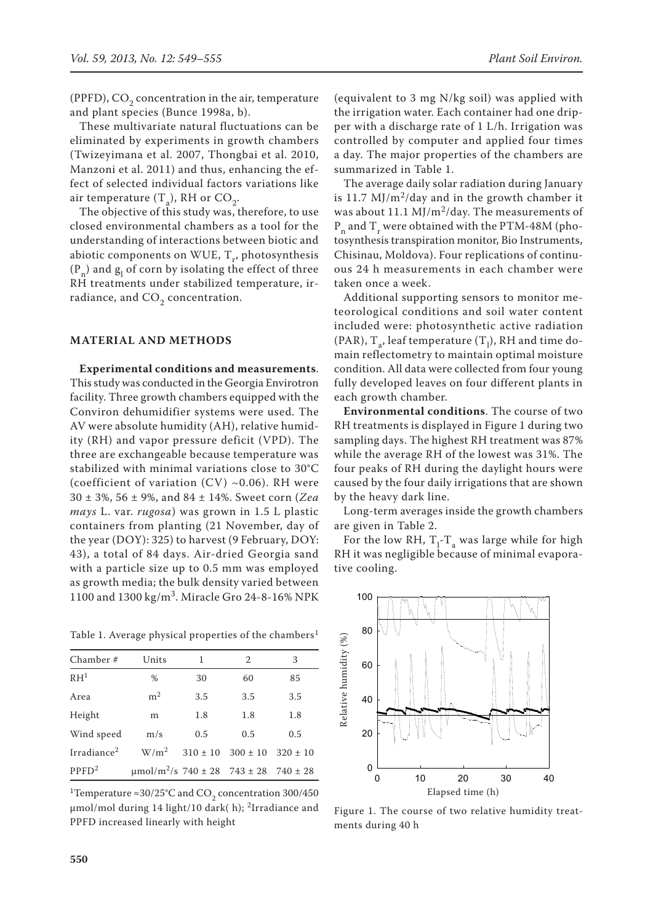(PPFD),  $CO<sub>2</sub>$  concentration in the air, temperature and plant species (Bunce 1998a, b).

These multivariate natural fluctuations can be eliminated by experiments in growth chambers (Twizeyimana et al. 2007, Thongbai et al. 2010, Manzoni et al. 2011) and thus, enhancing the effect of selected individual factors variations like air temperature  $(T_a)$ , RH or  $CO_2$ .

The objective of this study was, therefore, to use closed environmental chambers as a tool for the understanding of interactions between biotic and abiotic components on WUE,  $T_r$ , photosynthesis  $(P_n)$  and  $g_l$  of corn by isolating the effect of three RH treatments under stabilized temperature, irradiance, and  $CO<sub>2</sub>$  concentration.

## **MATERIAL AND METHODS**

**Experimental conditions and measurements**. This study was conducted in the Georgia Envirotron facility. Three growth chambers equipped with the Conviron dehumidifier systems were used. The AV were absolute humidity (AH), relative humidity (RH) and vapor pressure deficit (VPD). The three are exchangeable because temperature was stabilized with minimal variations close to 30°C (coefficient of variation  $(CV) \sim 0.06$ ). RH were 30 ± 3%, 56 ± 9%, and 84 ± 14%. Sweet corn (*Zea mays* L. var. *rugosa*) was grown in 1.5 L plastic containers from planting (21 November, day of the year (DOY): 325) to harvest (9 February, DOY: 43), a total of 84 days. Air-dried Georgia sand with a particle size up to 0.5 mm was employed as growth media; the bulk density varied between 1100 and 1300 kg/m<sup>3</sup>. Miracle Gro 24-8-16% NPK

Table 1. Average physical properties of the chambers<sup>1</sup>

| Chamber #               | Units                                         | 1   | $\mathfrak{D}$            | 3            |
|-------------------------|-----------------------------------------------|-----|---------------------------|--------------|
| RH <sup>1</sup>         | %                                             | 30  | 60                        | 85           |
| Area                    | m <sup>2</sup>                                | 3.5 | 3.5                       | 3.5          |
| Height                  | m                                             | 1.8 | 1.8                       | 1.8          |
| Wind speed              | m/s                                           | 0.5 | 0.5                       | 0.5          |
| Irradiance <sup>2</sup> | $W/m^2$                                       |     | $310 \pm 10$ $300 \pm 10$ | $320 \pm 10$ |
| PPFD <sup>2</sup>       | $\mu$ mol/m <sup>2</sup> /s 740 ± 28 743 ± 28 |     |                           | $740 \pm 28$ |

<sup>1</sup>Temperature ≈30/25°C and CO<sub>2</sub> concentration 300/450  $\mu$ mol/mol during 14 light/10 dark( h); <sup>2</sup>Irradiance and PPFD increased linearly with height

(equivalent to 3 mg N/kg soil) was applied with the irrigation water. Each container had one dripper with a discharge rate of 1 L/h. Irrigation was controlled by computer and applied four times a day. The major properties of the chambers are summarized in Table 1.

The average daily solar radiation during January is 11.7  $M$ J/m<sup>2</sup>/day and in the growth chamber it was about 11.1 MJ/m<sup>2</sup>/day. The measurements of  $P_n$  and  $T_r$  were obtained with the PTM-48M (photosynthesis transpiration monitor, Bio Instruments, Chisinau, Moldova). Four replications of continuous 24 h measurements in each chamber were taken once a week.

Additional supporting sensors to monitor meteorological conditions and soil water content included were: photosynthetic active radiation (PAR),  $T_{a'}$  leaf temperature (T<sub>1</sub>), RH and time domain reflectometry to maintain optimal moisture condition. All data were collected from four young fully developed leaves on four different plants in each growth chamber.

**Environmental conditions**. The course of two RH treatments is displayed in Figure 1 during two sampling days. The highest RH treatment was 87% while the average RH of the lowest was 31%. The four peaks of RH during the daylight hours were caused by the four daily irrigations that are shown by the heavy dark line.

Long-term averages inside the growth chambers are given in Table 2.

For the low RH,  $T_1$ - $T_a$  was large while for high RH it was negligible because of minimal evaporative cooling.



Figure 1. The course of two relative humidity treatments during 40 h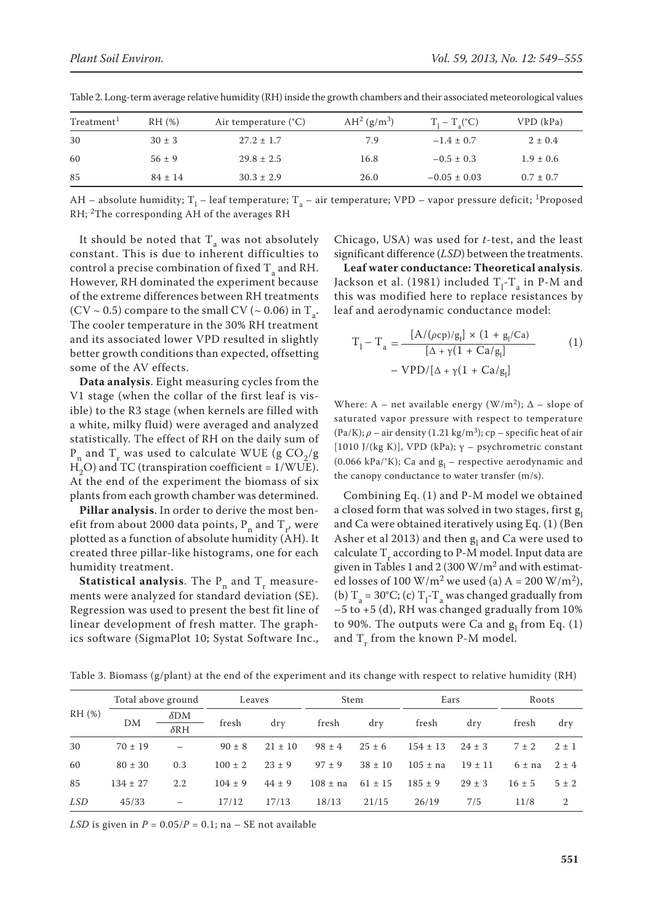| Treatment <sup>1</sup> | RH(%)       | Air temperature $(^{\circ}C)$ | $AH^2(g/m^3)$ | $T_1 - T_2$ <sup>°</sup> C) | VPD (kPa)     |
|------------------------|-------------|-------------------------------|---------------|-----------------------------|---------------|
| 30                     | $30 \pm 3$  | $27.2 \pm 1.7$                | 7.9           | $-1.4 \pm 0.7$              | $2 \pm 0.4$   |
| 60                     | $56 \pm 9$  | $29.8 \pm 2.5$                | 16.8          | $-0.5 \pm 0.3$              | $1.9 \pm 0.6$ |
| 85                     | $84 \pm 14$ | $30.3 \pm 2.9$                | 26.0          | $-0.05 \pm 0.03$            | $0.7 \pm 0.7$ |

Table 2. Long-term average relative humidity (RH) inside the growth chambers and their associated meteorological values

AH – absolute humidity; T<sub>1</sub> – leaf temperature; T<sub>a</sub> – air temperature; VPD – vapor pressure deficit; <sup>1</sup>Proposed RH; 2The corresponding AH of the averages RH

It should be noted that  $T_a$  was not absolutely constant. This is due to inherent difficulties to control a precise combination of fixed  $T_a$  and RH. However, RH dominated the experiment because of the extreme differences between RH treatments (CV  $\sim$  0.5) compare to the small CV ( $\sim$  0.06) in T<sub>a</sub>. The cooler temperature in the 30% RH treatment and its associated lower VPD resulted in slightly better growth conditions than expected, offsetting some of the AV effects.  $D$  of the AV effects.<br> **Data analysis**. Eight measuring cycles from the  $VPD/[\Delta + \gamma(1 + Ca/g_{\text{r}})]$ V effects.<br>· Γιλι

V1 stage (when the collar of the first leaf is visible) to the R3 stage (when kernels are filled with a white, milky fluid) were averaged and analyzed statistically. The effect of RH on the daily sum of  $P_n$  and  $T_r$  was used to calculate WUE (g  $CO_2/g$  $H<sub>2</sub>O$ ) and TC (transpiration coefficient = 1/WUE). At the end of the experiment the biomass of six plants from each growth chamber was determined.

**Pillar analysis**. In order to derive the most benefit from about 2000 data points,  $P_n$  and  $T_r$ , were plotted as a function of absolute humidity (AH). It created three pillar-like histograms, one for each humidity treatment.

**Statistical analysis**. The  $P_n$  and  $T_r$  measurements were analyzed for standard deviation (SE). Regression was used to present the best fit line of linear development of fresh matter. The graphics software (SigmaPlot 10; Systat Software Inc., Chicago, USA) was used for *t*-test, and the least significant difference (*LSD*) between the treatments.

RH. Leaf water conductance: Theoretical analysis. Jackson et al. (1981) included  $T_1$ - $T_a$  in P-M and differences between RH treatments this was modified here to replace resistances by leaf and aerodynamic conductance model:

ulted in slightly

\n
$$
T_{1} - T_{a} = \frac{[A/(\rho c_{p})/g_{l}] \times (1 + g_{l}/Ca)}{[\Delta + \gamma(1 + Ca/g_{l})]}
$$
\ncycles from the

\n
$$
- VPD/[\Delta + \gamma(1 + Ca/g_{l}])
$$
\n(1)

Where: A – net available energy  $(W/m^2)$ ;  $\Delta$  – slope of stage (when kernels are filled with  $\frac{W}{1000}$ ,  $\frac{W}{1000}$ ,  $\frac{W}{1000}$  aturated vapor pressure with respect to temperature  $(Pa/K); \rho$  – air density (1.21 kg/m<sup>3</sup>); cp – specific heat of air he effect of RH on the daily sum of<br>the same state of the colculate WIIE ( $\sigma$  CO / $\sigma$  [1010 J/(kg K)], VPD (kPa);  $\gamma$  – psychrometric constant (0.066 kPa/°K); Ca and  $g_l$  – respective aerodynamic and transpiration coefficient =  $1/WUE$ ).<br>the experiment the biomass of six the canopy conductance to water transfer (m/s).

ned. Combining Eq. (1) and P-M model we obtained **close in two solutions a** closed form that was solved in two stages, first  $g_1$  and  $h$  are the most benducted to derive the most benductance to derive the most benducted form that was solved in two stages, first  $g_1$ were and Ca were obtained iteratively using Eq. (1) (Ben-<br>In Report of al (2013) and detected in the algebra et al. nction of absolute humidity (AH). It Asher et al 2013) and then  $g_1$  and Ca were used to each calculate T<sub>r</sub> according to P-M model. Input data are given in the calculate **T**<sub>r</sub> according to P-M model. Input data are  $\mu_{\rm{m}}$  states, find and  $\mu_{\rm{m}}$  and  $\mu_{\rm{m}}$  and  $\mu_{\rm{m}}$  and  $\mu_{\rm{m}}$  and with estimatively using Eq.(1)  $\mu_{\rm{m}}$ ure- ed losses of 100 W/m<sup>2</sup> we used (a) A = 200 W/m<sup>2</sup>), alyzed for standard deviation (SE). (b)  $T_a = 30^{\circ}C$ ; (c)  $T_1$ - $T_a$  was changed gradually from ne of  $-5$  to +5 (d), RH was changed gradually from 10%<br>https://www.gradually.com/states/2009.html oment of fresh matter. The graph- to 90%. The outputs were Ca and  $g_1$  from Eq. (1) Inc., and  $T_r$  from the known P-M model.

|        | Total above ground |                          | Leaves      |             | Stem         |             | Ears         |             | Roots                |           |
|--------|--------------------|--------------------------|-------------|-------------|--------------|-------------|--------------|-------------|----------------------|-----------|
| RH (%) | DM                 | $\delta$ DM              | fresh       |             | fresh        |             | fresh        |             | fresh                | dry       |
|        |                    | $\delta$ RH              |             | dry         |              | dry         |              | dry         |                      |           |
| 30     | $70 \pm 19$        | $\overline{\phantom{m}}$ | $90 \pm 8$  | $21 \pm 10$ | $98 \pm 4$   | $25 \pm 6$  | $154 \pm 13$ | $24 \pm 3$  | $7 \pm 2$            | $2 \pm 1$ |
| 60     | $80 \pm 30$        | 0.3                      | $100 \pm 2$ | $23 \pm 9$  | $97 \pm 9$   | $38 \pm 10$ | $105 \pm na$ | $19 \pm 11$ | $6 \pm$ na $2 \pm 4$ |           |
| 85     | $134 \pm 27$       | 2.2                      | $104 \pm 9$ | $44 \pm 9$  | $108 \pm na$ | $61 \pm 15$ | $185 \pm 9$  | $29 \pm 3$  | $16 \pm 5$           | $5 \pm 2$ |
| LSD    | 45/33              | $\overline{\phantom{m}}$ | 17/12       | 17/13       | 18/13        | 21/15       | 26/19        | 7/5         | 11/8                 | 2         |

Table 3. Biomass (g/plant) at the end of the experiment and its change with respect to relative humidity (RH)

 $LSD$  is given in  $P = 0.05/P = 0.1$ ; na – SE not available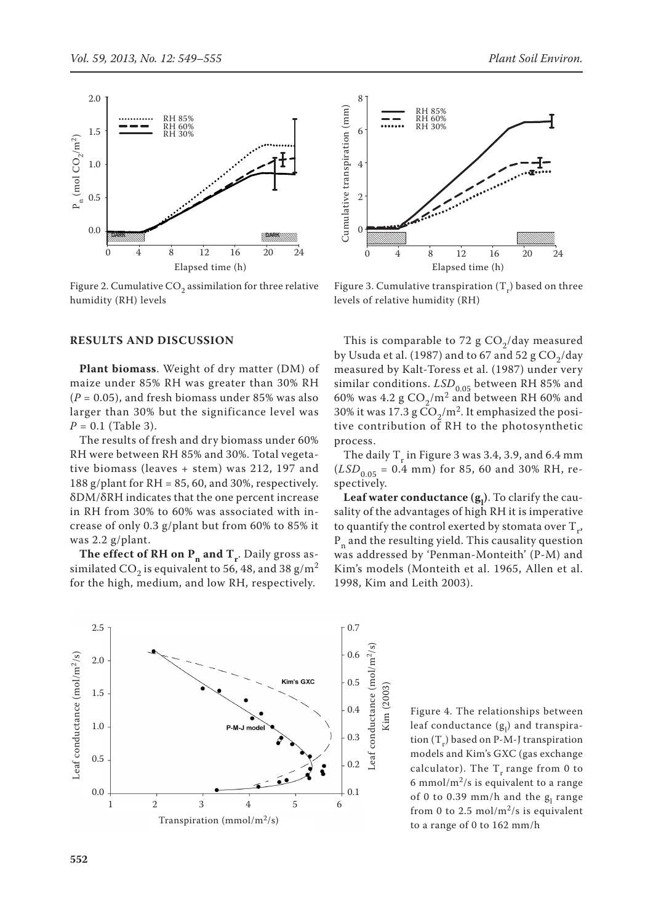

Figure 2. Cumulative  $CO<sub>2</sub>$  assimilation for three relative humidity (RH) levels

#### **RESULTS AND DISCUSSION**

**Plant biomass**. Weight of dry matter (DM) of maize under 85% RH was greater than 30% RH  $(P = 0.05)$ , and fresh biomass under 85% was also larger than 30% but the significance level was *P* = 0.1 (Table 3).

The results of fresh and dry biomass under 60% RH were between RH 85% and 30%. Total vegetative biomass (leaves + stem) was 212, 197 and 188 g/plant for  $RH = 85, 60$ , and 30%, respectively. δDM/δRH indicates that the one percent increase in RH from 30% to 60% was associated with increase of only 0.3 g/plant but from 60% to 85% it was 2.2 g/plant.

**The effect of RH on**  $P_n$  **and**  $T_r$ **.** Daily gross assimilated CO<sub>2</sub> is equivalent to 56, 48, and 38 g/m<sup>2</sup> for the high, medium, and low RH, respectively.





Figure 3. Cumulative transpiration  $(T_r)$  based on three levels of relative humidity (RH)

This is comparable to 72 g  $CO<sub>2</sub>/day$  measured by Usuda et al. (1987) and to 67 and 52 g  $CO<sub>2</sub>/day$ measured by Kalt-Toress et al. (1987) under very similar conditions.  $LSD_{0.05}$  between RH 85% and 60% was 4.2 g  $CO<sub>2</sub>/m<sup>2</sup>$  and between RH 60% and 30% it was 17.3 g  $CO<sub>2</sub>/m<sup>2</sup>$ . It emphasized the positive contribution of RH to the photosynthetic process.

The daily  $T_r$  in Figure 3 was 3.4, 3.9, and 6.4 mm  $(LSD_{0.05} = 0.4$  mm) for 85, 60 and 30% RH, respectively.

**Leaf water conductance (g<sub>1</sub>). To clarify the cau**sality of the advantages of high RH it is imperative to quantify the control exerted by stomata over  $T_r$ ,  $P_n$  and the resulting yield. This causality question was addressed by 'Penman-Monteith' (P-M) and Kim's models (Monteith et al. 1965, Allen et al. 1998, Kim and Leith 2003).

Figure 4. The relationships between leaf conductance (g<sub>l</sub>) and transpiration  $(T_r)$  based on P-M-J transpiration models and Kim's GXC (gas exchange calculator). The  $T_r$  range from 0 to 6 mmol/m<sup>2</sup>/s is equivalent to a range of 0 to 0.39 mm/h and the  $g_l$  range from 0 to 2.5 mol/m<sup>2</sup>/s is equivalent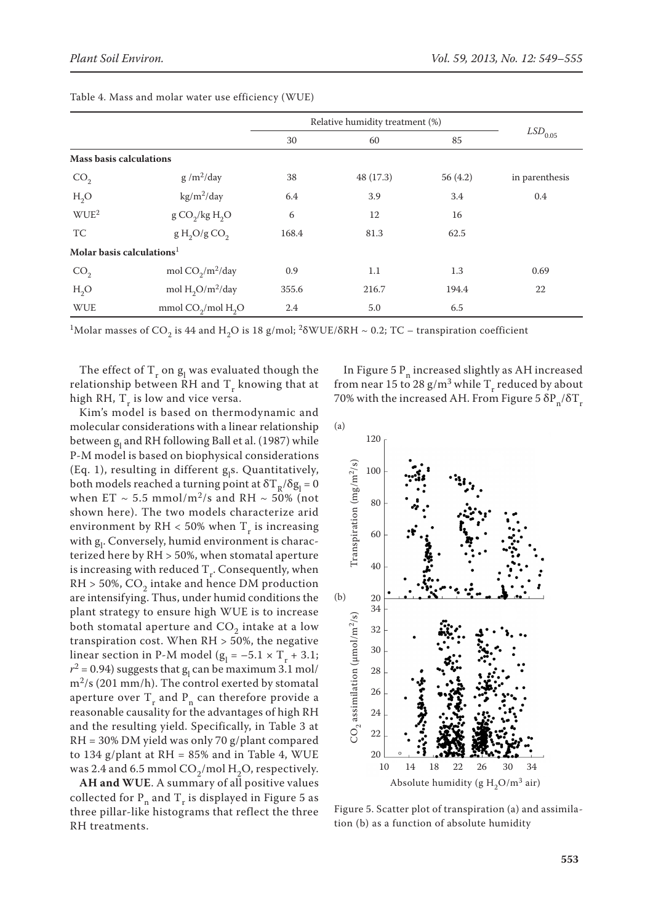|                                       |                                      | Relative humidity treatment (%) |           |          |                |
|---------------------------------------|--------------------------------------|---------------------------------|-----------|----------|----------------|
|                                       |                                      | 30                              | 60        | 85       | $LSD_{0.05}$   |
| <b>Mass basis calculations</b>        |                                      |                                 |           |          |                |
| CO <sub>2</sub>                       | $g/m^2/day$                          | 38                              | 48 (17.3) | 56 (4.2) | in parenthesis |
| $H_2O$                                | $\text{kg/m}^2/\text{day}$           | 6.4                             | 3.9       | 3.4      | 0.4            |
| WUE <sup>2</sup>                      | $g \text{CO}_2$ /kg H <sub>2</sub> O | 6                               | 12        | 16       |                |
| TC                                    | g H <sub>2</sub> O/g CO <sub>2</sub> | 168.4                           | 81.3      | 62.5     |                |
| Molar basis calculations <sup>1</sup> |                                      |                                 |           |          |                |
| CO <sub>2</sub>                       | mol $CO_2/m^2$ /day                  | 0.9                             | 1.1       | 1.3      | 0.69           |
| $H_2O$                                | mol $H_2O/m^2$ /day                  | 355.6                           | 216.7     | 194.4    | 22             |
| <b>WUE</b>                            | mmol $CO2/mol H2O$                   | 2.4                             | 5.0       | 6.5      |                |

Table 4. Mass and molar water use efficiency (WUE)

<sup>1</sup>Molar masses of CO<sub>2</sub> is 44 and H<sub>2</sub>O is 18 g/mol; <sup>2</sup> $\delta$ WUE/ $\delta$ RH ~ 0.2; TC – transpiration coefficient

The effect of  $T_r$  on  $g_l$  was evaluated though the relationship between RH and  $T_r$  knowing that at high RH,  $T_r$  is low and vice versa.

Kim's model is based on thermodynamic and molecular considerations with a linear relationship between g<sub>l</sub> and RH following Ball et al. (1987) while P-M model is based on biophysical considerations (Eq. 1), resulting in different  $g_1s$ . Quantitatively, both models reached a turning point at  $\delta T_R/\delta g_l = 0$ when ET  $\sim$  5.5 mmol/m<sup>2</sup>/s and RH  $\sim$  50% (not shown here). The two models characterize arid environment by  $RH < 50\%$  when T<sub>r</sub> is increasing with  $g_l$ . Conversely, humid environment is characterized here by RH > 50%, when stomatal aperture is increasing with reduced  $T_r$ . Consequently, when  $RH > 50\%$ , CO<sub>2</sub> intake and hence DM production are intensifying. Thus, under humid conditions the plant strategy to ensure high WUE is to increase both stomatal aperture and  $CO<sub>2</sub>$  intake at a low transpiration cost. When  $RH > 50\%$ , the negative linear section in P-M model  $(g_l = -5.1 \times T_r + 3.1;$  $r^2 = 0.94$ ) suggests that  $g_1$  can be maximum 3.1 mol/  $m^2$ /s (201 mm/h). The control exerted by stomatal aperture over  $T_r$  and  $P_n$  can therefore provide a reasonable causality for the advantages of high RH and the resulting yield. Specifically, in Table 3 at RH = 30% DM yield was only 70 g/plant compared to 134 g/plant at  $RH = 85%$  and in Table 4, WUE was 2.4 and 6.5 mmol  $CO_2$ /mol H<sub>2</sub>O, respectively.

**AH and WUE**. A summary of all positive values collected for  $P_n$  and  $T_r$  is displayed in Figure 5 as three pillar-like histograms that reflect the three RH treatments.

In Figure 5  $P_n$  increased slightly as AH increased from near 15 to 28 g/m<sup>3</sup> while T<sub>r</sub> reduced by about 70% with the increased AH. From Figure 5  $\delta P_n/\delta T_r$ 



Figure 5. Scatter plot of transpiration (a) and assimila-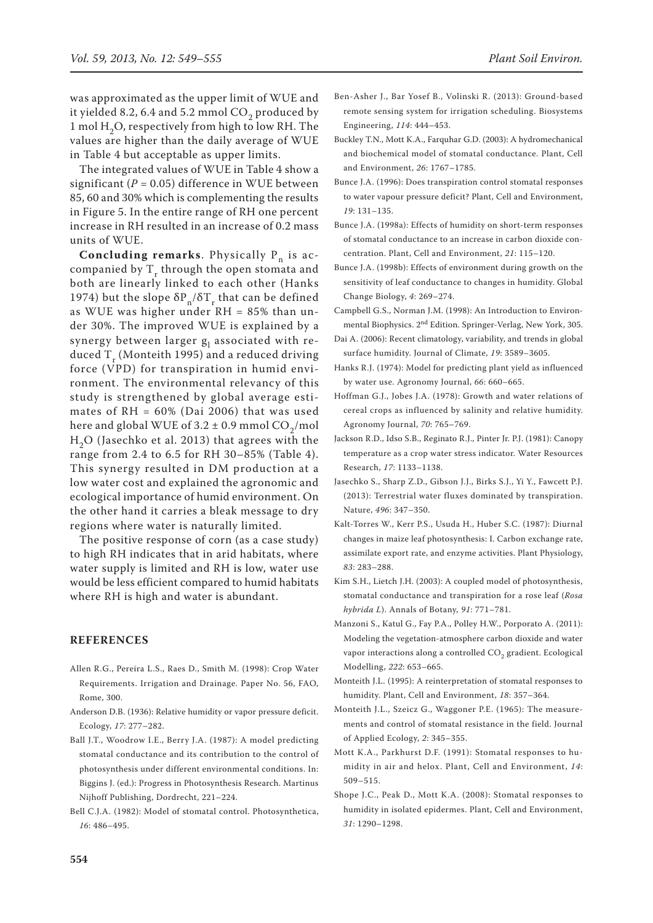was approximated as the upper limit of WUE and it yielded 8.2, 6.4 and 5.2 mmol  $CO<sub>2</sub>$  produced by 1 mol  $H<sub>2</sub>O$ , respectively from high to low RH. The values are higher than the daily average of WUE in Table 4 but acceptable as upper limits.

The integrated values of WUE in Table 4 show a significant  $(P = 0.05)$  difference in WUE between 85, 60 and 30% which is complementing the results in Figure 5. In the entire range of RH one percent increase in RH resulted in an increase of 0.2 mass units of WUE.

**Concluding remarks**. Physically  $P_n$  is accompanied by  $T_r$  through the open stomata and both are linearly linked to each other (Hanks 1974) but the slope  $\delta P_n / \delta T_r$  that can be defined as WUE was higher under RH = 85% than under 30%. The improved WUE is explained by a synergy between larger  $g_1$  associated with reduced  $T_r$  (Monteith 1995) and a reduced driving force (VPD) for transpiration in humid environment. The environmental relevancy of this study is strengthened by global average estimates of RH = 60% (Dai 2006) that was used here and global WUE of  $3.2 \pm 0.9$  mmol CO<sub>2</sub>/mol  $H<sub>2</sub>O$  (Jasechko et al. 2013) that agrees with the range from 2.4 to 6.5 for RH 30–85% (Table 4). This synergy resulted in DM production at a low water cost and explained the agronomic and ecological importance of humid environment. On the other hand it carries a bleak message to dry regions where water is naturally limited.

The positive response of corn (as a case study) to high RH indicates that in arid habitats, where water supply is limited and RH is low, water use would be less efficient compared to humid habitats where RH is high and water is abundant.

### **REFERENCES**

- Allen R.G., Pereira L.S., Raes D., Smith M. (1998): Crop Water Requirements. Irrigation and Drainage. Paper No. 56, FAO, Rome, 300.
- Anderson D.B. (1936): Relative humidity or vapor pressure deficit. Ecology, *17*: 277–282.
- Ball J.T., Woodrow I.E., Berry J.A. (1987): A model predicting stomatal conductance and its contribution to the control of photosynthesis under different environmental conditions. In: Biggins J. (ed.): Progress in Photosynthesis Research. Martinus Nijhoff Publishing, Dordrecht, 221–224.
- Bell C.J.A. (1982): Model of stomatal control. Photosynthetica, *16*: 486–495.
- Ben-Asher J., Bar Yosef B., Volinski R. (2013): Ground-based remote sensing system for irrigation scheduling. Biosystems Engineering, *114*: 444–453.
- Buckley T.N., Mott K.A., Farquhar G.D. (2003): A hydromechanical and biochemical model of stomatal conductance. Plant, Cell and Environment, *26*: 1767–1785.
- Bunce J.A. (1996): Does transpiration control stomatal responses to water vapour pressure deficit? Plant, Cell and Environment, *19*: 131–135.
- Bunce J.A. (1998a): Effects of humidity on short-term responses of stomatal conductance to an increase in carbon dioxide concentration. Plant, Cell and Environment, *21*: 115–120.
- Bunce J.A. (1998b): Effects of environment during growth on the sensitivity of leaf conductance to changes in humidity. Global Change Biology, *4*: 269–274.
- Campbell G.S., Norman J.M. (1998): An Introduction to Environmental Biophysics. 2nd Edition. Springer-Verlag, New York, 305.
- Dai A. (2006): Recent climatology, variability, and trends in global surface humidity. Journal of Climate, *19*: 3589–3605.
- Hanks R.J. (1974): Model for predicting plant yield as influenced by water use. Agronomy Journal, *66*: 660–665.
- Hoffman G.J., Jobes J.A. (1978): Growth and water relations of cereal crops as influenced by salinity and relative humidity. Agronomy Journal, *70*: 765–769.
- Jackson R.D., Idso S.B., Reginato R.J., Pinter Jr. P.J. (1981): Canopy temperature as a crop water stress indicator. Water Resources Research, *17*: 1133–1138.
- Jasechko S., Sharp Z.D., Gibson J.J., Birks S.J., Yi Y., Fawcett P.J. (2013): Terrestrial water fluxes dominated by transpiration. Nature, *496*: 347–350.
- Kalt-Torres W., Kerr P.S., Usuda H., Huber S.C. (1987): Diurnal changes in maize leaf photosynthesis: I. Carbon exchange rate, assimilate export rate, and enzyme activities. Plant Physiology, *83*: 283–288.
- Kim S.H., Lietch J.H. (2003): A coupled model of photosynthesis, stomatal conductance and transpiration for a rose leaf (*Rosa hybrida L*). Annals of Botany, *91*: 771–781.
- Manzoni S., Katul G., Fay P.A., Polley H.W., Porporato A. (2011): Modeling the vegetation-atmosphere carbon dioxide and water vapor interactions along a controlled CO<sub>2</sub> gradient. Ecological Modelling, *222*: 653–665.
- Monteith J.L. (1995): A reinterpretation of stomatal responses to humidity. Plant, Cell and Environment, *18*: 357–364.
- Monteith J.L., Szeicz G., Waggoner P.E. (1965): The measurements and control of stomatal resistance in the field. Journal of Applied Ecology, *2*: 345–355.
- Mott K.A., Parkhurst D.F. (1991): Stomatal responses to humidity in air and helox. Plant, Cell and Environment, *14*: 509–515.
- Shope J.C., Peak D., Mott K.A. (2008): Stomatal responses to humidity in isolated epidermes. Plant, Cell and Environment, *31*: 1290–1298.